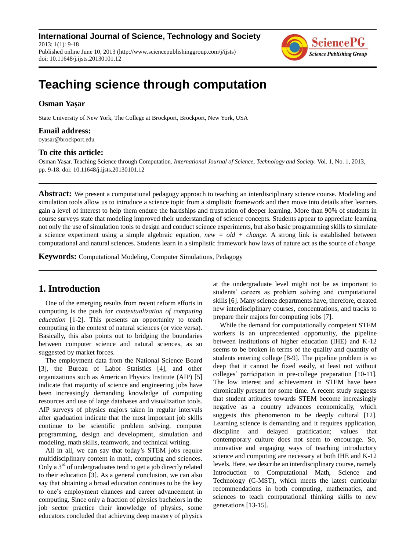**International Journal of Science, Technology and Society** 2013; 1(1): 9-18 Published online June 10, 2013 (http://www.sciencepublishinggroup.com/j/ijsts) doi: 10.11648/j.ijsts.20130101.12



# **Teaching science through computation**

# **Osman Yaşar**

State University of New York, The College at Brockport, Brockport, New York, USA

### **Email address:**

oyasar@brockport.edu

### **To cite this article:**

Osman Yaşar. Teaching Science through Computation. *International Journal of Science, Technology and Society.* Vol. 1, No. 1, 2013, pp. 9-18. doi: 10.11648/j.ijsts.20130101.12

**Abstract:** We present a computational pedagogy approach to teaching an interdisciplinary science course. Modeling and simulation tools allow us to introduce a science topic from a simplistic framework and then move into details after learners gain a level of interest to help them endure the hardships and frustration of deeper learning. More than 90% of students in course surveys state that modeling improved their understanding of science concepts. Students appear to appreciate learning not only the use of simulation tools to design and conduct science experiments, but also basic programming skills to simulate a science experiment using a simple algebraic equation, *new = old + change*. A strong link is established between computational and natural sciences. Students learn in a simplistic framework how laws of nature act as the source of *change*.

**Keywords:** Computational Modeling, Computer Simulations, Pedagogy

# **1. Introduction**

One of the emerging results from recent reform efforts in computing is the push for *contextualization of computing education* [1-2]. This presents an opportunity to teach computing in the context of natural sciences (or vice versa). Basically, this also points out to bridging the boundaries between computer science and natural sciences, as so suggested by market forces.

The employment data from the National Science Board [3], the Bureau of Labor Statistics [4], and other organizations such as American Physics Institute (AIP) [5] indicate that majority of science and engineering jobs have been increasingly demanding knowledge of computing resources and use of large databases and visualization tools. AIP surveys of physics majors taken in regular intervals after graduation indicate that the most important job skills continue to be scientific problem solving, computer programming, design and development, simulation and modeling, math skills, teamwork, and technical writing.

All in all, we can say that today's STEM jobs require multidisciplinary content in math, computing and sciences. Only a  $3<sup>rd</sup>$  of undergraduates tend to get a job directly related to their education [3]. As a general conclusion, we can also say that obtaining a broad education continues to be the key to one's employment chances and career advancement in computing. Since only a fraction of physics bachelors in the job sector practice their knowledge of physics, some educators concluded that achieving deep mastery of physics at the undergraduate level might not be as important to students' careers as problem solving and computational skills [6]. Many science departments have, therefore, created new interdisciplinary courses, concentrations, and tracks to prepare their majors for computing jobs [7].

While the demand for computationally competent STEM workers is an unprecedented opportunity, the pipeline between institutions of higher education (IHE) and K-12 seems to be broken in terms of the quality and quantity of students entering college [8-9]. The pipeline problem is so deep that it cannot be fixed easily, at least not without colleges' participation in pre-college preparation [10-11]. The low interest and achievement in STEM have been chronically present for some time. A recent study suggests that student attitudes towards STEM become increasingly negative as a country advances economically, which suggests this phenomenon to be deeply cultural [12]. Learning science is demanding and it requires application, discipline and delayed gratification; values that contemporary culture does not seem to encourage. So, innovative and engaging ways of teaching introductory science and computing are necessary at both IHE and K-12 levels. Here, we describe an interdisciplinary course, namely Introduction to Computational Math, Science and Technology (C-MST), which meets the latest curricular recommendations in both computing, mathematics, and sciences to teach computational thinking skills to new generations [13-15].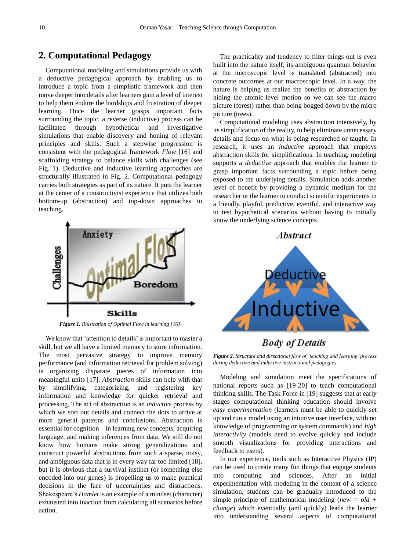# **2. Computational Pedagogy**

Computational modeling and simulations provide us with a deductive pedagogical approach by enabling us to introduce a topic from a simplistic framework and then move deeper into details after learners gain a level of interest to help them endure the hardships and frustration of deeper learning. Once the learner grasps important facts surrounding the topic, a reverse (inductive) process can be facilitated through hypothetical and investigative simulations that enable discovery and honing of relevant principles and skills. Such a stepwise progression is consistent with the pedagogical framework *Flow* [16] and scaffolding strategy to balance skills with challenges (see Fig. 1). Deductive and inductive learning approaches are structurally illustrated in Fig. 2. Computational pedagogy carries both strategies as part of its nature. It puts the learner at the center of a constructivist experience that utilizes both bottom-up (abstraction) and top-down approaches to teaching.



*Figure 1. Illustration of Optimal Flow in learning [16].*

We know that 'attention to details' is important to master a skill, but we all have a limited memory to store information. The most pervasive strategy to improve memory performance (and information retrieval for problem solving) is organizing disparate pieces of information into meaningful units [17]. *Abstraction* skills can help with that by simplifying, categorizing, and registering key information and knowledge for quicker retrieval and processing. The act of abstraction is an *inductive* process by which we sort out details and connect the dots to arrive at more general patterns and conclusions. Abstraction is essential for cognition – in learning new concepts, acquiring language, and making inferences from data. We still do not know how humans make strong generalizations and construct powerful abstractions from such a sparse, noisy, and ambiguous data that is in every way far too limited [18], but it is obvious that a survival instinct (or something else encoded into our genes) is propelling us to make practical decisions in the face of uncertainties and distractions. Shakespeare's *Hamlet* is an example of a mindset (character) exhausted into inaction from calculating all scenarios before action.

The practicality and tendency to filter things out is even built into the nature itself; its ambiguous quantum behavior at the microscopic level is translated (abstracted) into concrete outcomes at our macroscopic level. In a way, the nature is helping us realize the benefits of abstraction by hiding the atomic-level motion so we can see the macro picture (forest) rather than being bogged down by the micro picture (trees).

Computational modeling uses abstraction intensively, by its simplification of the reality, to help eliminate unnecessary details and focus on what is being researched or taught. In research, it uses an *inductive* approach that employs abstraction skills for simplifications. In teaching, modeling supports a *deductive* approach that enables the learner to grasp important facts surrounding a topic before being exposed to the underlying details. Simulation adds another level of benefit by providing a dynamic medium for the researcher or the learner to conduct scientific experiments in a friendly, playful, predictive, eventful, and interactive way to test hypothetical scenarios without having to initially know the underlying science concepts.





**Body of Details** 

*Figure 2. Structure and directional flow of 'teaching and learning' process during deductive and inductive instructional pedagogies.*

Modeling and simulation meet the specifications of national reports such as [19-20] to teach computational thinking skills. The Task Force in [19] suggests that at early stages computational thinking education should involve *easy experimentation* (learners must be able to quickly set up and run a model using an intuitive user interface, with no knowledge of programming or system commands) and *high interactivity* (models need to evolve quickly and include smooth visualizations for providing interactions and feedback to users).

In our experience, tools such as Interactive Physics (IP) can be used to create many fun things that engage students into computing and sciences. After an initial experimentation with modeling in the context of a science simulation, students can be gradually introduced to the simple principle of mathematical modeling (*new = old + change*) which eventually (and quickly) leads the learner into understanding several aspects of computational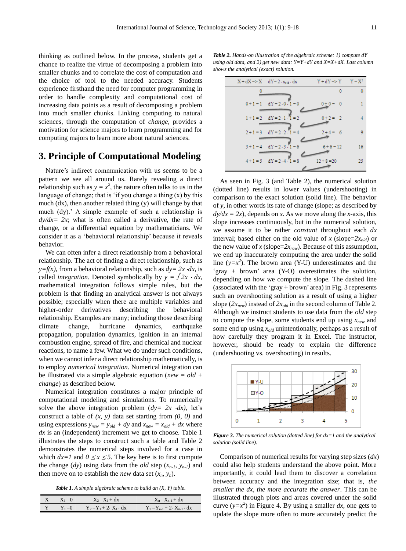thinking as outlined below. In the process, students get a chance to realize the virtue of decomposing a problem into smaller chunks and to correlate the cost of computation and the choice of tool to the needed accuracy. Students experience firsthand the need for computer programming in order to handle complexity and computational cost of increasing data points as a result of decomposing a problem into much smaller chunks. Linking computing to natural sciences, through the computation of *change,* provides a motivation for science majors to learn programming and for computing majors to learn more about natural sciences.

# **3. Principle of Computational Modeling**

Nature's indirect communication with us seems to be a pattern we see all around us. Rarely revealing a direct relationship such as  $y = x^2$ , the nature often talks to us in the language of change; that is 'if you change a thing  $(x)$  by this much (dx), then another related thing (y) will change by that much (dy).' A simple example of such a relationship is  $d\nu/dx = 2x$ ; what is often called a derivative, the rate of change, or a differential equation by mathematicians. We consider it as a 'behavioral relationship' because it reveals behavior.

We can often infer a direct relationship from a behavioral relationship. The act of finding a direct relationship, such as *y*= $f(x)$ , from a behavioral relationship, such as  $dy = 2x \, dx$ , is called *integration*. Denoted symbolically by  $y = \int 2x \cdot dx$ , mathematical integration follows simple rules, but the problem is that finding an analytical answer is not always possible; especially when there are multiple variables and higher-order derivatives describing the behavioral relationship. Examples are many; including those describing climate change, hurricane dynamics, earthquake propagation, population dynamics, ignition in an internal combustion engine, spread of fire, and chemical and nuclear reactions, to name a few. What we do under such conditions, when we cannot infer a direct relationship mathematically, is to employ *numerical integration*. Numerical integration can be illustrated via a simple algebraic equation (*new = old + change*) as described below.

Numerical integration constitutes a major principle of computational modeling and simulations. To numerically solve the above integration problem  $(dy= 2x \cdot dx)$ , let's construct a table of *(x, y)* data set starting from *(0, 0)* and using expressions  $y_{new} = y_{old} + dy$  and  $x_{new} = x_{old} + dx$  where *dx* is an (independent) increment we get to choose. Table 1 illustrates the steps to construct such a table and Table 2 demonstrates the numerical steps involved for a case in which  $dx=1$  and  $0 \le x \le 5$ . The key here is to first compute the change (*dy*) using data from the *old* step (*xn-1, yn-1*) and then move on to establish the *new* data set  $(x_n, y_n)$ .

*Table 1. A simple algebraic scheme to build an (X, Y) table.*

| $X = X_1 = 0$ | $X_2 = X_1 + dx$                   | $X_n = X_{n-1} + dx$                       |
|---------------|------------------------------------|--------------------------------------------|
| $Y_1=0$       | $Y_2 = Y_1 + 2 \cdot X_1 \cdot dx$ | $Y_n = Y_{n-1} + 2 \cdot X_{n-1} \cdot dx$ |

*Table 2. Hands-on illustration of the algebraic scheme: 1) compute dY using old data, and 2) get new data: Y=Y+dY and X=X+dX. Last column shows the analytical (exact) solution.*

| $X + dX \Rightarrow X$ $dY = 2 \cdot x_{old} \cdot dx$ | $Y + dY \Rightarrow Y \qquad Y = X^2$ |    |
|--------------------------------------------------------|---------------------------------------|----|
|                                                        | 0                                     | 0  |
| $0+1=1$ $dY=2.0.1=0$                                   | $0 + 0 = 0$                           | 1  |
| $1+1=2$ dY = 2.1. $1=2$                                | $0+2 = 2$                             | Δ  |
| $2+1=3$ dY = 2.2.1 = 4                                 | $2+4=6$                               | 9  |
| $3 + 1 = 4$ dY = 2.3.1 = 6                             | $6+6=12$                              | 16 |
| $4+1=5$ $dY = 2.4.1 = 8$                               | $12 + 8 = 20$                         | 25 |

As seen in Fig. 3 (and Table 2), the numerical solution (dotted line) results in lower values (undershooting) in comparison to the exact solution (solid line). The behavior of *y*, in other words its rate of change (slope; as described by  $dy/dx = 2x$ , depends on *x*. As we move along the *x*-axis, this slope increases continuously, but in the numerical solution, we assume it to be rather *constant* throughout each *dx* interval; based either on the old value of *x* (slope= $2x_{old}$ ) or the new value of *x* (slope= $2x_{new}$ ). Because of this assumption, we end up inaccurately computing the area under the solid line  $(y=x^2)$ . The brown area (Y-U) underestimates and the 'gray + brown' area (Y-O) overestimates the solution, depending on how we compute the slope. The dashed line (associated with the 'gray + brown' area) in Fig. 3 represents such an overshooting solution as a result of using a higher slope  $(2x_{new})$  instead of  $2x_{old}$  in the second column of Table 2. Although we instruct students to use data from the *old* step to compute the slope, some students end up using *xnew* and some end up using *xold* unintentionally, perhaps as a result of how carefully they program it in Excel. The instructor, however, should be ready to explain the difference (undershooting vs. overshooting) in results.



*Figure 3. The numerical solution (dotted line) for dx=1 and the analytical solution (solid line).*

Comparison of numerical results for varying step sizes (*dx*) could also help students understand the above point. More importantly, it could lead them to discover a correlation between accuracy and the integration size; that is, *the smaller the dx, the more accurate the answer*. This can be illustrated through plots and areas covered under the solid curve  $(y=x^2)$  in Figure 4. By using a smaller dx, one gets to update the slope more often to more accurately predict the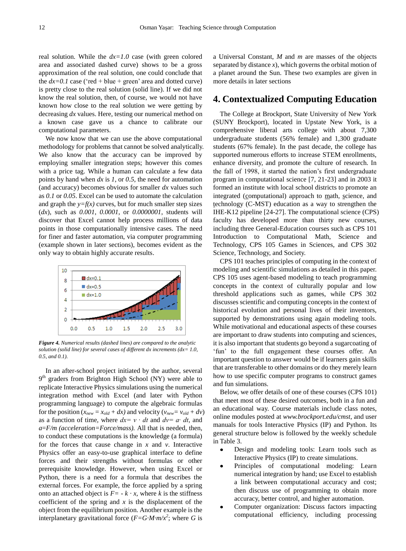real solution. While the *dx=1.0* case (with green colored area and associated dashed curve) shows to be a gross approximation of the real solution, one could conclude that the  $dx=0.1$  case ('red + blue + green' area and dotted curve) is pretty close to the real solution (solid line). If we did not know the real solution, then, of course, we would not have known how close to the real solution we were getting by decreasing *dx* values. Here, testing our numerical method on a known case gave us a chance to calibrate our computational parameters.

We now know that we can use the above computational methodology for problems that cannot be solved analytically. We also know that the accuracy can be improved by employing smaller integration steps; however this comes with a price tag. While a human can calculate a few data points by hand when *dx* is *1*, or *0.5*, the need for automation (and accuracy) becomes obvious for smaller *dx* values such as *0.1* or *0.05*. Excel can be used to automate the calculation and graph the  $y=f(x)$  curves, but for much smaller step sizes (*dx*), such as *0.001*, *0.0001*, or *0.0000001*, students will discover that Excel cannot help process millions of data points in those computationally intensive cases. The need for finer and faster automation, via computer programming (example shown in later sections), becomes evident as the only way to obtain highly accurate results.



*Figure 4. Numerical results (dashed lines) are compared to the analytic solution (solid line) for several cases of different dx increments (dx= 1.0, 0.5, and 0.1).*

In an after-school project initiated by the author, several 9<sup>th</sup> graders from Brighton High School (NY) were able to replicate Interactive Physics simulations using the numerical integration method with Excel (and later with Python programming language) to compute the algebraic formulas for the position  $(x_{new} = x_{old} + dx)$  and velocity  $(v_{new} = v_{old} + dv)$ as a function of time, where *dx= v ∙ dt* and *dv= a∙ dt*, and *a*=*F/m (acceleration=Force/mass).* All that is needed, then, to conduct these computations is the knowledge (a formula) for the forces that cause change in *x* and *v*. Interactive Physics offer an easy-to-use graphical interface to define forces and their strengths without formulas or other prerequisite knowledge. However, when using Excel or Python, there is a need for a formula that describes the external forces. For example, the force applied by a spring onto an attached object is  $F = -k \cdot x$ , where *k* is the stiffness coefficient of the spring and *x* is the displacement of the object from the equilibrium position. Another example is the interplanetary gravitational force  $(F = G \cdot M \cdot m / x^2)$ ; where G is

a Universal Constant, *M* and *m* are masses of the objects separated by distance  $x$ ), which governs the orbital motion of a planet around the Sun. These two examples are given in more details in later sections

# **4. Contextualized Computing Education**

The College at Brockport, State University of New York (SUNY Brockport), located in Upstate New York, is a comprehensive liberal arts college with about 7,300 undergraduate students (56% female) and 1,300 graduate students (67% female). In the past decade, the college has supported numerous efforts to increase STEM enrollments, enhance diversity, and promote the culture of research. In the fall of 1998, it started the nation's first undergraduate program in computational science [7, 21-23] and in 2003 it formed an institute with local school districts to promote an integrated (computational) approach to math, science, and technology (C-MST) education as a way to strengthen the IHE-K12 pipeline [24-27]. The computational science (CPS) faculty has developed more than thirty new courses, including three General-Education courses such as CPS 101 Introduction to Computational Math, Science and Technology, CPS 105 Games in Sciences, and CPS 302 Science, Technology, and Society.

CPS 101 teaches principles of computing in the context of modeling and scientific simulations as detailed in this paper. CPS 105 uses agent-based modeling to teach programming concepts in the context of culturally popular and low threshold applications such as games, while CPS 302 discusses scientific and computing concepts in the context of historical evolution and personal lives of their inventors, supported by demonstrations using again modeling tools. While motivational and educational aspects of these courses are important to draw students into computing and sciences, it is also important that students go beyond a sugarcoating of 'fun' to the full engagement these courses offer. An important question to answer would be if learners gain skills that are transferable to other domains or do they merely learn how to use specific computer programs to construct games and fun simulations.

Below, we offer details of one of these courses (CPS 101) that meet most of these desired outcomes, both in a fun and an educational way. Course materials include class notes, online modules posted at *[www.brockport.edu/cmst](http://www.brockport.edu/cmst)*, and user manuals for tools Interactive Physics (IP) and Python. Its general structure below is followed by the weekly schedule in Table 3.

- Design and modeling tools: Learn tools such as Interactive Physics (IP) to create simulations.
- Principles of computational modeling: Learn numerical integration by hand; use Excel to establish a link between computational accuracy and cost; then discuss use of programming to obtain more accuracy, better control, and higher automation.
- Computer organization: Discuss factors impacting computational efficiency, including processing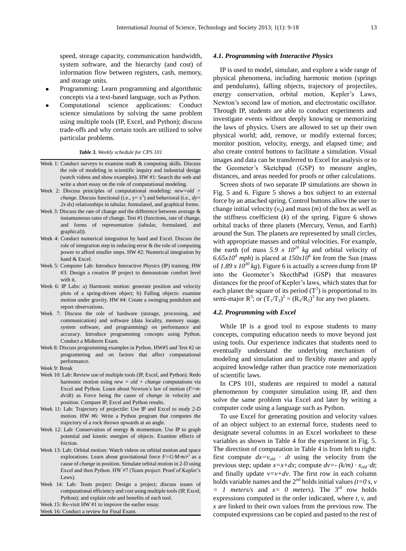speed, storage capacity, communication bandwidth, system software, and the hierarchy (and cost) of information flow between registers, cash, memory, and storage units.

- Programming: Learn programming and algorithmic concepts via a text-based language, such as Python.
- Computational science applications: Conduct science simulations by solving the same problem using multiple tools (IP, Excel, and Python); discuss trade-offs and why certain tools are utilized to solve particular problems.

#### *Table 3. Weekly schedule for CPS 101*

- Week 1: Conduct surveys to examine math & computing skills. Discuss the role of modeling in scientific inquiry and industrial design (watch videos and show examples). HW #1: Search the web and write a short essay on the role of computational modeling.
- Week 2: Discuss principles of computational modeling: *new=old + change*. Discuss functional (i.e.,  $y = x^2$ ) and behavioral (i.e.,  $dy =$ *2x⋅dx*) relationships in tabular, formulated, and graphical forms.
- Week 3: Discuss the rate of change and the difference between average  $\&$ instantaneous rates of change. Test #1 (functions, rate of change, and forms of representation (tabular, formulated, and graphical)).
- Week 4: Conduct numerical integration by hand and Excel. Discuss the role of integration step in reducing error & the role of computing power to afford smaller steps. HW #2: Numerical integration by hand & Excel.
- Week 5: Computer Lab: Introduce Interactive Physics (IP) training. HW #3: Design a creative IP project to demonstrate comfort level with it.
- Week 6: IP Labs: a) Harmonic motion: generate position and velocity plots of a spring-driven object; b) Falling objects: examine motion under gravity. HW #4: Create a swinging pendulum and report observations.
- Week 7: Discuss the role of hardware (storage, processing, and communication) and software (data locality, memory usage, system software, and programming) on performance and accuracy. Introduce programming concepts using Python. Conduct a Midterm Exam.
- Week 8: Discuss programming examples in Python. HW#5 and Test #2 on programming and on factors that affect computational performance.
- Week 9: Break
- Week 10: Lab: Review use of multiple tools (IP, Excel, and Python). Redo harmonic motion using *new = old + change* computations via Excel and Python. Learn about Newton's law of motion (*F=m dv/dt*) as Force being the cause of *change* in velocity and position. Compare IP, Excel and Python results.
- Week 11: Lab: Trajectory of projectile: Use IP and Excel to study 2-D motion. HW #6: Write a Python program that computes the trajectory of a rock thrown upwards at an angle.
- Week 12: Lab: Conservation of energy & momentum. Use IP to graph potential and kinetic energies of objects. Examine effects of friction.
- Week 13: Lab: Orbital motion: Watch videos on orbital motion and space explorations. Learn about gravitational force  $F = G \cdot M \cdot m/r^2$  as a cause of *change* in position. Simulate orbital motion in 2-D using Excel and then Python. HW #7 (Team project: Proof of Kepler's Laws).
- Week 14: Lab: Team project: Design a project; discuss issues of computational efficiency and cost using multiple tools (IP, Excel, Python); and explain role and benefits of each tool.
- Week 15: Re-visit HW #1 to improve the earlier essay.

Week 16: Conduct a review for Final Exam.

### *4.1. Programming with Interactive Physics*

IP is used to model, simulate, and explore a wide range of physical phenomena, including harmonic motion (springs and pendulums), falling objects, trajectory of projectiles, energy conservation, orbital motion, Kepler's Laws, Newton's second law of motion, and electrostatic oscillator. Through IP, students are able to conduct experiments and investigate events without deeply knowing or memorizing the laws of physics. Users are allowed to set up their own physical world; add, remove, or modify external forces; monitor position, velocity, energy, and elapsed time; and also create control buttons to facilitate a simulation. Visual images and data can be transferred to Excel for analysis or to the Geometer's Sketchpad (GSP) to measure angles, distances, and areas needed for proofs or other calculations.

Screen shots of two separate IP simulations are shown in Fig. 5 and 6. Figure 5 shows a box subject to an external force by an attached spring. Control buttons allow the user to change initial velocity  $(v_0)$  and mass  $(m)$  of the box as well as the stiffness coefficient  $(k)$  of the spring. Figure 6 shows orbital tracks of three planets (Mercury, Venus, and Earth) around the Sun. The planets are represented by small circles, with appropriate masses and orbital velocities. For example, the earth (of mass  $5.9 \times 10^{24}$  *kg* and orbital velocity of  $6.65x10<sup>4</sup>$  *mph*) is placed at  $150x10<sup>6</sup>$  *km* from the Sun (mass of  $1.89 \times 10^{30}$  kg). Figure 6 is actually a screen dump from IP into the Geometer's SkecthPad (GSP) that measures distances for the proof of Kepler's laws, which states that for each planet the square of its period  $(T^2)$  is proportional to its semi-major  $R^3$ ; or  $(T_1/T_2)^2 = (R_1/R_2)^3$  for any two planets.

### *4.2. Programming with Excel*

While IP is a good tool to expose students to many concepts, computing education needs to move beyond just using tools. Our experience indicates that students need to eventually understand the underlying mechanism of modeling and simulation and to flexibly master and apply acquired knowledge rather than practice rote memorization of scientific laws.

In CPS 101, students are required to model a natural phenomenon by computer simulation using IP, and then solve the same problem via Excel and later by writing a computer code using a language such as Python.

To use Excel for generating position and velocity values of an object subject to an external force, students need to designate several columns in an Excel worksheet to these variables as shown in Table 4 for the experiment in Fig. 5. The direction of computation in Table 4 is from left to right: first compute  $dx=v_{old}$  *∙ dt* using the velocity from the previous step; update  $x=x+dx$ ; compute  $dv=- (k/m) \cdot x_{old} \cdot dt$ ; and finally update  $v=v+dv$ . The first row in each column holds variable names and the  $2<sup>nd</sup>$  holds initial values *(t=0 s, v*  $= 1$  *meters/s* and  $x = 0$  *meters*). The 3<sup>rd</sup> row holds expressions computed in the order indicated, where *t, v,* and *x* are linked to their own values from the previous row. The computed expressions can be copied and pasted to the rest of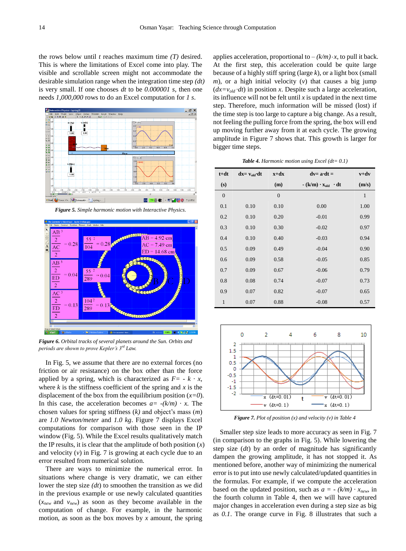the rows below until *t* reaches maximum time *(T)* desired. This is where the limitations of Excel come into play. The visible and scrollable screen might not accommodate the desirable simulation range when the integration time step *(dt)* is very small. If one chooses *dt* to be *0.000001 s*, then one needs *1,000,000* rows to do an Excel computation for *1 s*.



*Figure 5. Simple harmonic motion with Interactive Physics.*



*Figure 6. Orbital tracks of several planets around the Sun. Orbits and periods are shown to prove Kepler's 3rd Law.*

In Fig. 5, we assume that there are no external forces (no friction or air resistance) on the box other than the force applied by a spring, which is characterized as  $F = -k \cdot x$ , where  $k$  is the stiffness coefficient of the spring and  $x$  is the displacement of the box from the equilibrium position (*x=0*). In this case, the acceleration becomes  $a = -(k/m) \cdot x$ . The chosen values for spring stiffness (*k)* and object's mass (*m*) are *1.0 Newton/meter* and *1.0 kg*. Figure 7 displays Excel computations for comparison with those seen in the IP window (Fig. 5). While the Excel results qualitatively match the IP results, it is clear that the amplitude of both position  $(x)$ and velocity (*v*) in Fig. 7 is growing at each cycle due to an error resulted from numerical solution.

There are ways to minimize the numerical error. In situations where change is very dramatic, we can either lower the step size *(dt*) to smoothen the transition as we did in the previous example or use newly calculated quantities (*xnew* and *vnew*) as soon as they become available in the computation of change. For example, in the harmonic motion, as soon as the box moves by *x* amount, the spring

applies acceleration, proportional to  $-(k/m) \cdot x$ , to pull it back. At the first step, this acceleration could be quite large because of a highly stiff spring (large *k*), or a light box (small *m*), or a high initial velocity (*v*) that causes a big jump  $(dx=v_{old} \cdot dt)$  in position *x*. Despite such a large acceleration, its influence will not be felt until *x* is updated in the next time step. Therefore, much information will be missed (lost) if the time step is too large to capture a big change. As a result, not feeling the pulling force from the spring, the box will end up moving further away from it at each cycle. The growing amplitude in Figure 7 shows that. This growth is larger for bigger time steps.

| <b>Table 4.</b> Harmonic motion using Excel ( $dt = 0.1$ ) |  |  |  |
|------------------------------------------------------------|--|--|--|
|                                                            |  |  |  |

| $t + dt$     | $dx = v_{old} \cdot dt$ | $x+dx$         | $dv = a \cdot dt =$             | $v+dv$       |
|--------------|-------------------------|----------------|---------------------------------|--------------|
| (s)          |                         | (m)            | $-(k/m) \cdot x_{old} \cdot dt$ | (m/s)        |
| $\mathbf{0}$ |                         | $\overline{0}$ |                                 | $\mathbf{1}$ |
| 0.1          | 0.10                    | 0.10           | 0.00                            | 1.00         |
| 0.2          | 0.10                    | 0.20           | $-0.01$                         | 0.99         |
| 0.3          | 0.10                    | 0.30           | $-0.02$                         | 0.97         |
| 0.4          | 0.10                    | 0.40           | $-0.03$                         | 0.94         |
| 0.5          | 0.09                    | 0.49           | $-0.04$                         | 0.90         |
| 0.6          | 0.09                    | 0.58           | $-0.05$                         | 0.85         |
| 0.7          | 0.09                    | 0.67           | $-0.06$                         | 0.79         |
| 0.8          | 0.08                    | 0.74           | $-0.07$                         | 0.73         |
| 0.9          | 0.07                    | 0.82           | $-0.07$                         | 0.65         |
| $\mathbf{1}$ | 0.07                    | 0.88           | $-0.08$                         | 0.57         |



*Figure 7. Plot of position (x) and velocity (v) in Table 4*

Smaller step size leads to more accuracy as seen in Fig. 7 (in comparison to the graphs in Fig. 5). While lowering the step size (*dt*) by an order of magnitude has significantly dampen the growing amplitude, it has not stopped it. As mentioned before, another way of minimizing the numerical error is to put into use newly calculated/updated quantities in the formulas. For example, if we compute the acceleration based on the updated position, such as  $a = -(k/m) \cdot x_{new}$ , in the fourth column in Table 4, then we will have captured major changes in acceleration even during a step size as big as *0.1*. The orange curve in Fig. 8 illustrates that such a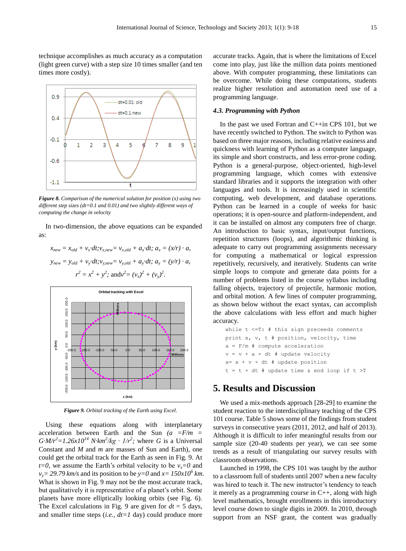technique accomplishes as much accuracy as a computation (light green curve) with a step size 10 times smaller (and ten times more costly).



*Figure 8. Comparison of the numerical solution for position (x) using two different step sizes (dt=0.1 and 0.01) and two slightly different ways of computing the change in velocity*

In two-dimension, the above equations can be expanded as:

 $x_{new} = x_{old} + v_x \cdot dt; v_{x,new} = v_{x,old} + a_x \cdot dt; a_x = (x/r) \cdot a$  $y_{new} = y_{old} + v_y \cdot dt; v_{y,new} = v_{y,old} + a_y \cdot dt; a_y = (y/r) \cdot a$  $r^2 = x^2 + y^2$ ; and  $v^2 = (v_x)^2 + (v_y)^2$ .



*Figure 9. Orbital tracking of the Earth using Excel.*

Using these equations along with interplanetary acceleration between Earth and the Sun *(a =F/m =*   $G \cdot M/r^2 = 1.26x10^{14} \text{ N} \cdot \text{km}^2/\text{kg} \cdot 1/r^2$ ; where *G* is a Universal Constant and *M* and *m* are masses of Sun and Earth), one could get the orbital track for the Earth as seen in Fig. 9. At *t*=0, we assume the Earth's orbital velocity to be  $v_x=0$  and  $v_y = 29.79$  km/s and its position to be  $y=0$  and  $x=150x10^6$  km. What is shown in Fig. 9 may not be the most accurate track, but qualitatively it is representative of a planet's orbit. Some planets have more elliptically looking orbits (see Fig. 6). The Excel calculations in Fig. 9 are given for  $dt = 5$  days, and smaller time steps (*i.e., dt=1* day) could produce more

accurate tracks. Again, that is where the limitations of Excel come into play, just like the million data points mentioned above. With computer programming, these limitations can be overcome. While doing these computations, students realize higher resolution and automation need use of a programming language.

### *4.3. Programming with Python*

In the past we used Fortran and C++in CPS 101, but we have recently switched to Python. The switch to Python was based on three major reasons, including relative easiness and quickness with learning of Python as a computer language, its simple and short constructs, and less error-prone coding. Python is a general-purpose, object-oriented, high-level programming language, which comes with extensive standard libraries and it supports the integration with other languages and tools. It is increasingly used in scientific computing, web development, and database operations. Python can be learned in a couple of weeks for basic operations; it is open-source and platform-independent, and it can be installed on almost any computers free of charge. An introduction to basic syntax, input/output functions, repetition structures (loops), and algorithmic thinking is adequate to carry out programming assignments necessary for computing a mathematical or logical expression repetitively, recursively, and iteratively. Students can write simple loops to compute and generate data points for a number of problems listed in the course syllabus including falling objects, trajectory of projectile, harmonic motion, and orbital motion. A few lines of computer programming, as shown below without the exact syntax, can accomplish the above calculations with less effort and much higher accuracy.

```
while t <=T: # this sign preceeds comments
print x, v, t # position, velocity, time
a = F/m # compute acceleration
v = v + a \times dt # update velocity
x= x + v \times dt # update position
t = t + dt # update time & end loop if t > T
```
# **5. Results and Discussion**

We used a mix-methods approach [28-29] to examine the student reaction to the interdisciplinary teaching of the CPS 101 course. Table 5 shows some of the findings from student surveys in consecutive years (2011, 2012, and half of 2013). Although it is difficult to infer meaningful results from our sample size (20-40 students per year), we can see some trends as a result of triangulating our survey results with classroom observations.

Launched in 1998, the CPS 101 was taught by the author to a classroom full of students until 2007 when a new faculty was hired to teach it. The new instructor's tendency to teach it merely as a programming course in C++, along with high level mathematics, brought enrollments in this introductory level course down to single digits in 2009. In 2010, through support from an NSF grant, the content was gradually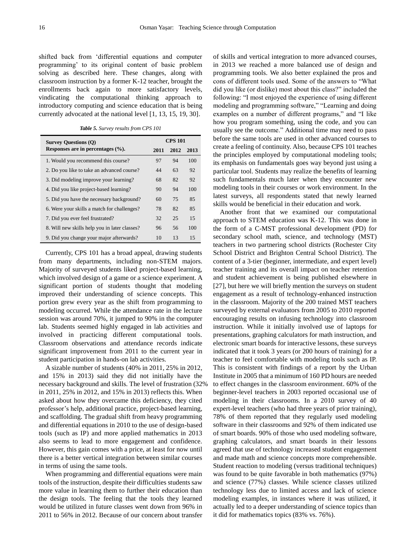shifted back from 'differential equations and computer programming' to its original content of basic problem solving as described here. These changes, along with classroom instruction by a former K-12 teacher, brought the enrollments back again to more satisfactory levels, vindicating the computational thinking approach to introductory computing and science education that is being currently advocated at the national level [1, 13, 15, 19, 30].

*Table 5. Survey results from CPS 101*

| <b>Survey Questions (Q)</b>                   | <b>CPS 101</b> |      |      |  |
|-----------------------------------------------|----------------|------|------|--|
| Responses are in percentages $(\%).$          | 2011           | 2012 | 2013 |  |
| 1. Would you recommend this course?           | 97             | 94   | 100  |  |
| 2. Do you like to take an advanced course?    | 44             | 63   | 92   |  |
| 3. Did modeling improve your learning?        | 68             | 82   | 92   |  |
| 4. Did you like project-based learning?       | 90             | 94   | 100  |  |
| 5. Did you have the necessary background?     | 60             | 75   | 85   |  |
| 6. Were your skills a match for challenges?   | 78             | 82   | 85   |  |
| 7. Did you ever feel frustrated?              | 32             | 25   | 15   |  |
| 8. Will new skills help you in later classes? | 96             | 56   | 100  |  |
| 9. Did you change your major afterwards?      | 10             | 13   | 15   |  |

Currently, CPS 101 has a broad appeal, drawing students from many departments, including non-STEM majors. Majority of surveyed students liked project-based learning, which involved design of a game or a science experiment. A significant portion of students thought that modeling improved their understanding of science concepts. This portion grew every year as the shift from programming to modeling occurred. While the attendance rate in the lecture session was around 70%, it jumped to 90% in the computer lab. Students seemed highly engaged in lab activities and involved in practicing different computational tools. Classroom observations and attendance records indicate significant improvement from 2011 to the current year in student participation in hands-on lab activities.

A sizable number of students (40% in 2011, 25% in 2012, and 15% in 2013) said they did not initially have the necessary background and skills. The level of frustration (32% in 2011, 25% in 2012, and 15% in 2013) reflects this. When asked about how they overcame this deficiency, they cited professor's help, additional practice, project-based learning, and scaffolding. The gradual shift from heavy programming and differential equations in 2010 to the use of design-based tools (such as IP) and more applied mathematics in 2013 also seems to lead to more engagement and confidence. However, this gain comes with a price, at least for now until there is a better vertical integration between similar courses in terms of using the same tools.

When programming and differential equations were main tools of the instruction, despite their difficulties students saw more value in learning them to further their education than the design tools. The feeling that the tools they learned would be utilized in future classes went down from 96% in 2011 to 56% in 2012. Because of our concern about transfer

of skills and vertical integration to more advanced courses, in 2013 we reached a more balanced use of design and programming tools. We also better explained the pros and cons of different tools used. Some of the answers to "What did you like (or dislike) most about this class?" included the following: "I most enjoyed the experience of using different modeling and programming software," "Learning and doing examples on a number of different programs," and "I like how you program something, using the code, and you can usually see the outcome." Additional time may need to pass before the same tools are used in other advanced courses to create a feeling of continuity. Also, because CPS 101 teaches the principles employed by computational modeling tools; its emphasis on fundamentals goes way beyond just using a particular tool. Students may realize the benefits of learning such fundamentals much later when they encounter new modeling tools in their courses or work environment. In the latest surveys, all respondents stated that newly learned skills would be beneficial in their education and work.

Another front that we examined our computational approach to STEM education was K-12. This was done in the form of a C-MST professional development (PD) for secondary school math, science, and technology (MST) teachers in two partnering school districts (Rochester City School District and Brighton Central School District). The content of a 3-tier (beginner, intermediate, and expert level) teacher training and its overall impact on teacher retention and student achievement is being published elsewhere in [27], but here we will briefly mention the surveys on student engagement as a result of technology-enhanced instruction in the classroom. Majority of the 200 trained MST teachers surveyed by external evaluators from 2005 to 2010 reported encouraging results on infusing technology into classroom instruction. While it initially involved use of laptops for presentations, graphing calculators for math instruction, and electronic smart boards for interactive lessons, these surveys indicated that it took 3 years (or 200 hours of training) for a teacher to feel comfortable with modeling tools such as IP. This is consistent with findings of a report by the Urban Institute in 2005 that a minimum of 160 PD hours are needed to effect changes in the classroom environment. 60% of the beginner-level teachers in 2003 reported occasional use of modeling in their classrooms. In a 2010 survey of 40 expert-level teachers (who had three years of prior training), 78% of them reported that they regularly used modeling software in their classrooms and 92% of them indicated use of smart boards. 90% of those who used modeling software, graphing calculators, and smart boards in their lessons agreed that use of technology increased student engagement and made math and science concepts more comprehensible. Student reaction to modeling (versus traditional techniques) was found to be quite favorable in both mathematics (97%) and science (77%) classes. While science classes utilized technology less due to limited access and lack of science modeling examples, in instances where it was utilized, it actually led to a deeper understanding of science topics than it did for mathematics topics (83% vs. 76%).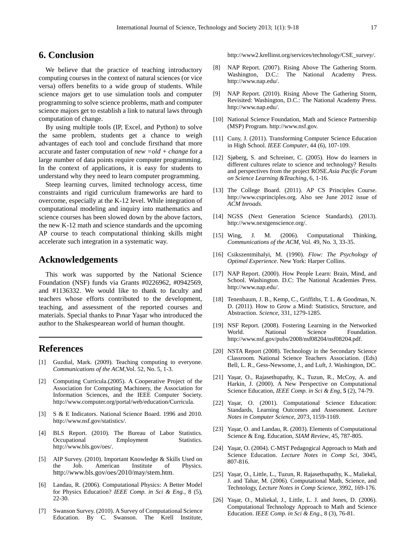# **6. Conclusion**

We believe that the practice of teaching introductory computing courses in the context of natural sciences (or vice versa) offers benefits to a wide group of students. While science majors get to use simulation tools and computer programming to solve science problems, math and computer science majors get to establish a link to natural laws through computation of change.

By using multiple tools (IP, Excel, and Python) to solve the same problem, students get a chance to weigh advantages of each tool and conclude firsthand that more accurate and faster computation of *new =old + change* for a large number of data points require computer programming. In the context of applications, it is easy for students to understand why they need to learn computer programming.

Steep learning curves, limited technology access, time constraints and rigid curriculum frameworks are hard to overcome, especially at the K-12 level. While integration of computational modeling and inquiry into mathematics and science courses has been slowed down by the above factors, the new K-12 math and science standards and the upcoming AP course to teach computational thinking skills might accelerate such integration in a systematic way.

### **Acknowledgements**

This work was supported by the National Science Foundation (NSF) funds via Grants #0226962, #0942569, and #1136332. We would like to thank to faculty and teachers whose efforts contributed to the development, teaching, and assessment of the reported courses and materials. Special thanks to Pınar Yaşar who introduced the author to the Shakespearean world of human thought.

# **References**

- [1] Guzdial, Mark. (2009). Teaching computing to everyone. *Communications of the ACM,*Vol. 52, No. 5, 1-3.
- [2] Computing Curricula.(2005). A Cooperative Project of the Association for Computing Machinery, the Association for Information Sciences, and the IEEE Computer Society. http://www.computer.org/portal/web/education/Curricula.
- [3] S & E Indicators. National Science Board. 1996 and 2010. http://www.nsf.gov/statistics/.
- [4] BLS Report. (2010). The Bureau of Labor Statistics. Occupational Employment Statistics. http://www.bls.gov/oes/.
- [5] AIP Survey. (2010). Important Knowledge & Skills Used on the Job. American Institute of Physics. <http://www.bls.gov/oes/2010/may/stem.htm>.
- [6] Landau, R. (2006). Computational Physics: A Better Model for Physics Education? *IEEE Comp. in Sci & Eng.*, 8 (5), 22-30.
- [7] Swanson Survey. (2010). A Survey of Computational Science Education. By C. Swanson. The Krell Institute,

http://www2.krellinst.org/services/technology/CSE\_survey/.

- [8] NAP Report. (2007). Rising Above The Gathering Storm. Washington, D.C.: The National Academy Press. http://www.nap.edu/.
- [9] NAP Report. (2010). Rising Above The Gathering Storm, Revisited: Washington, D.C.: The National Academy Press. http://www.nap.edu/.
- [10] National Science Foundation, Math and Science Partnership (MSP) Program[. http://www.nsf.gov.](http://www.nsf.gov/)
- [11] Cuny, J. (2011). Transforming Computer Science Education in High School. *IEEE Computer*, 44 (6), 107-109.
- [12] Sjøberg, S. and Schreiner, C. (2005). How do learners in different cultures relate to science and technology? Results and perspectives from the project ROSE.*Asia Pacific Forum on Science Learning &Teaching*, 6, 1-16.
- [13] The College Board. (2011). AP CS Principles Course. http://www.csprinciples.org. Also see June 2012 issue of *ACM Inroads*.
- [14] NGSS (Next Generation Science Standards). (2013). http://www.nextgenscience.org/.
- [15] Wing, J. M. (2006). Computational Thinking, *Communications of the ACM*, Vol. 49, No. 3, 33-35.
- [16] Csikszentmihalyi, M. (1990). *Flow: The Psychology of Optimal Experience*. New York: Harper Collins.
- [17] NAP Report. (2000). How People Learn: Brain, Mind, and School. Washington. D.C: The National Academies Press. http://www.nap.edu/.
- [18] Tenenbaum, J. B., Kemp, C., Griffiths, T. L. & Goodman, N. D. (2011). How to Grow a Mind: Statistics, Structure, and Abstraction. *Science,* 331, 1279-1285.
- [19] NSF Report. (2008). Fostering Learning in the Networked World. National Science Foundation. http://www.nsf.gov/pubs/2008/nsf08204/nsf08204.pdf.
- [20] NSTA Report (2008). Technology in the Secondary Science Classroom. National Science Teachers Association. (Eds) Bell, L. R., Gess-Newsome, J., and Luft, J. Washington, DC.
- [21] Yaşar, O., Rajasethupathy, K., Tuzun, R., McCoy, A. and Harkin, J. (2000). A New Perspective on Computational Science Education, *IEEE Comp. in Sci & Eng*, **5** (2), 74-79.
- [22] Yaşar, O. (2001). Computational Science Education: Standards, Learning Outcomes and Assessment. *Lecture Notes in Computer Science,* 2073, 1159-1169.
- [23] Yaşar, O. and Landau, R. (2003). Elements of Computational Science & Eng. Education, *SIAM Review*, 45, 787-805.
- [24] Yaşar, O. (2004). C-MST Pedagogical Approach to Math and Science Education. *Lecture Notes in Comp Sci*, 3045, 807-816.
- [25] Yaşar, O., Little, L., Tuzun, R. Rajasethupathy, K., Maliekal, J. and Tahar, M. (2006). Computational Math, Science, and Technology, *Lecture Notes in Comp Science*, 3992, 169-176.
- [26] Yaşar, O., Maliekal, J., Little, L. J. and Jones, D. (2006). Computational Technology Approach to Math and Science Education. *IEEE Comp. in Sci & Eng.,* 8 (3), 76-81.